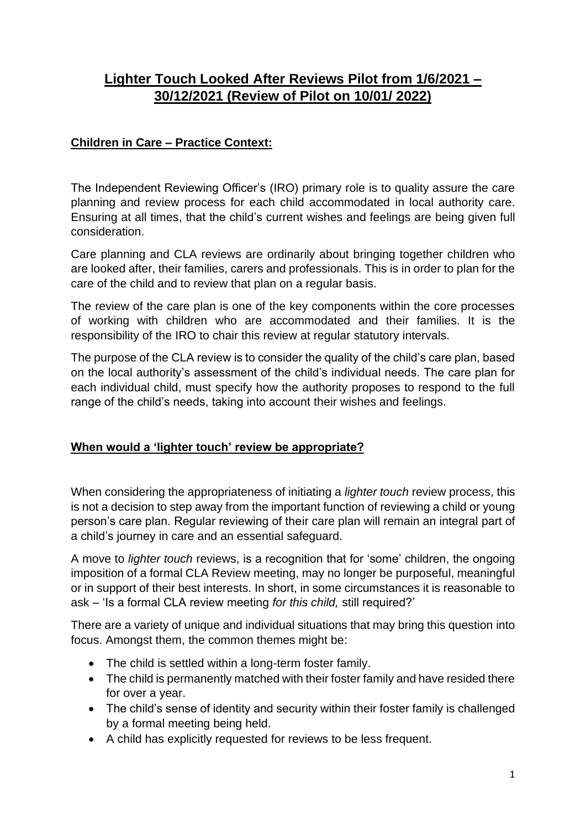# **Lighter Touch Looked After Reviews Pilot from 1/6/2021 – 30/12/2021 (Review of Pilot on 10/01/ 2022)**

## **Children in Care – Practice Context:**

The Independent Reviewing Officer's (IRO) primary role is to quality assure the care planning and review process for each child accommodated in local authority care. Ensuring at all times, that the child's current wishes and feelings are being given full consideration.

Care planning and CLA reviews are ordinarily about bringing together children who are looked after, their families, carers and professionals. This is in order to plan for the care of the child and to review that plan on a regular basis.

The review of the care plan is one of the key components within the core processes of working with children who are accommodated and their families. It is the responsibility of the IRO to chair this review at regular statutory intervals.

The purpose of the CLA review is to consider the quality of the child's care plan, based on the local authority's assessment of the child's individual needs. The care plan for each individual child, must specify how the authority proposes to respond to the full range of the child's needs, taking into account their wishes and feelings.

### **When would a 'lighter touch' review be appropriate?**

When considering the appropriateness of initiating a *lighter touch* review process, this is not a decision to step away from the important function of reviewing a child or young person's care plan. Regular reviewing of their care plan will remain an integral part of a child's journey in care and an essential safeguard.

A move to *lighter touch* reviews, is a recognition that for 'some' children, the ongoing imposition of a formal CLA Review meeting, may no longer be purposeful, meaningful or in support of their best interests. In short, in some circumstances it is reasonable to ask – 'Is a formal CLA review meeting *for this child,* still required?'

There are a variety of unique and individual situations that may bring this question into focus. Amongst them, the common themes might be:

- The child is settled within a long-term foster family.
- The child is permanently matched with their foster family and have resided there for over a year.
- The child's sense of identity and security within their foster family is challenged by a formal meeting being held.
- A child has explicitly requested for reviews to be less frequent.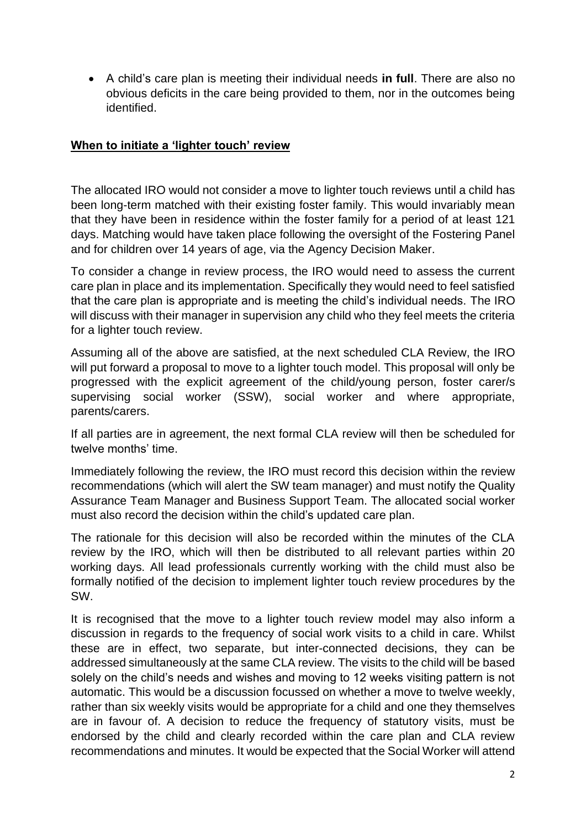• A child's care plan is meeting their individual needs **in full**. There are also no obvious deficits in the care being provided to them, nor in the outcomes being identified.

#### **When to initiate a 'lighter touch' review**

The allocated IRO would not consider a move to lighter touch reviews until a child has been long-term matched with their existing foster family. This would invariably mean that they have been in residence within the foster family for a period of at least 121 days. Matching would have taken place following the oversight of the Fostering Panel and for children over 14 years of age, via the Agency Decision Maker.

To consider a change in review process, the IRO would need to assess the current care plan in place and its implementation. Specifically they would need to feel satisfied that the care plan is appropriate and is meeting the child's individual needs. The IRO will discuss with their manager in supervision any child who they feel meets the criteria for a lighter touch review.

Assuming all of the above are satisfied, at the next scheduled CLA Review, the IRO will put forward a proposal to move to a lighter touch model. This proposal will only be progressed with the explicit agreement of the child/young person, foster carer/s supervising social worker (SSW), social worker and where appropriate, parents/carers.

If all parties are in agreement, the next formal CLA review will then be scheduled for twelve months' time.

Immediately following the review, the IRO must record this decision within the review recommendations (which will alert the SW team manager) and must notify the Quality Assurance Team Manager and Business Support Team. The allocated social worker must also record the decision within the child's updated care plan.

The rationale for this decision will also be recorded within the minutes of the CLA review by the IRO, which will then be distributed to all relevant parties within 20 working days. All lead professionals currently working with the child must also be formally notified of the decision to implement lighter touch review procedures by the SW.

It is recognised that the move to a lighter touch review model may also inform a discussion in regards to the frequency of social work visits to a child in care. Whilst these are in effect, two separate, but inter-connected decisions, they can be addressed simultaneously at the same CLA review. The visits to the child will be based solely on the child's needs and wishes and moving to 12 weeks visiting pattern is not automatic. This would be a discussion focussed on whether a move to twelve weekly, rather than six weekly visits would be appropriate for a child and one they themselves are in favour of. A decision to reduce the frequency of statutory visits, must be endorsed by the child and clearly recorded within the care plan and CLA review recommendations and minutes. It would be expected that the Social Worker will attend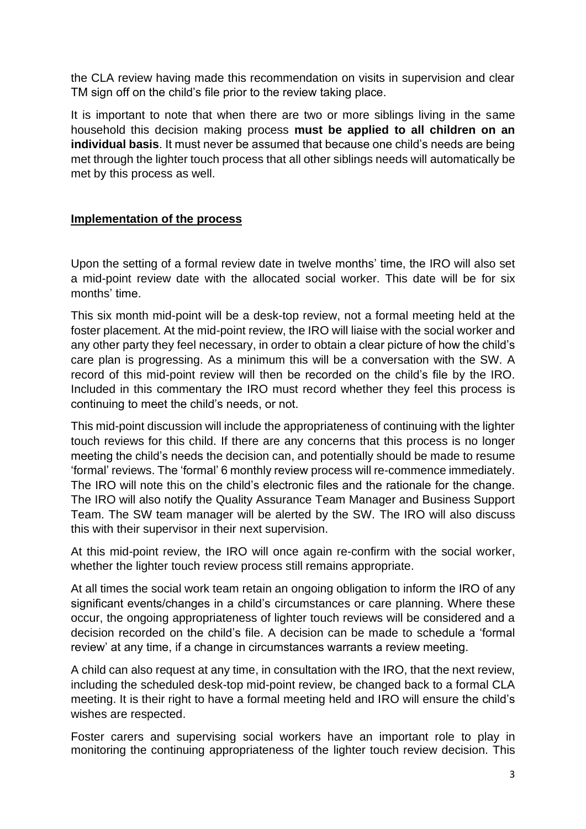the CLA review having made this recommendation on visits in supervision and clear TM sign off on the child's file prior to the review taking place.

It is important to note that when there are two or more siblings living in the same household this decision making process **must be applied to all children on an individual basis**. It must never be assumed that because one child's needs are being met through the lighter touch process that all other siblings needs will automatically be met by this process as well.

#### **Implementation of the process**

Upon the setting of a formal review date in twelve months' time, the IRO will also set a mid-point review date with the allocated social worker. This date will be for six months' time.

This six month mid-point will be a desk-top review, not a formal meeting held at the foster placement. At the mid-point review, the IRO will liaise with the social worker and any other party they feel necessary, in order to obtain a clear picture of how the child's care plan is progressing. As a minimum this will be a conversation with the SW. A record of this mid-point review will then be recorded on the child's file by the IRO. Included in this commentary the IRO must record whether they feel this process is continuing to meet the child's needs, or not.

This mid-point discussion will include the appropriateness of continuing with the lighter touch reviews for this child. If there are any concerns that this process is no longer meeting the child's needs the decision can, and potentially should be made to resume 'formal' reviews. The 'formal' 6 monthly review process will re-commence immediately. The IRO will note this on the child's electronic files and the rationale for the change. The IRO will also notify the Quality Assurance Team Manager and Business Support Team. The SW team manager will be alerted by the SW. The IRO will also discuss this with their supervisor in their next supervision.

At this mid-point review, the IRO will once again re-confirm with the social worker, whether the lighter touch review process still remains appropriate.

At all times the social work team retain an ongoing obligation to inform the IRO of any significant events/changes in a child's circumstances or care planning. Where these occur, the ongoing appropriateness of lighter touch reviews will be considered and a decision recorded on the child's file. A decision can be made to schedule a 'formal review' at any time, if a change in circumstances warrants a review meeting.

A child can also request at any time, in consultation with the IRO, that the next review, including the scheduled desk-top mid-point review, be changed back to a formal CLA meeting. It is their right to have a formal meeting held and IRO will ensure the child's wishes are respected.

Foster carers and supervising social workers have an important role to play in monitoring the continuing appropriateness of the lighter touch review decision. This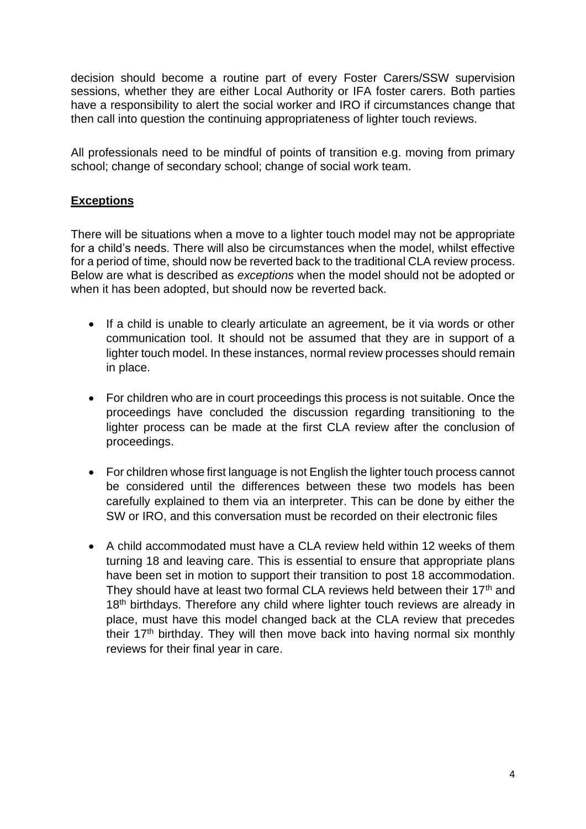decision should become a routine part of every Foster Carers/SSW supervision sessions, whether they are either Local Authority or IFA foster carers. Both parties have a responsibility to alert the social worker and IRO if circumstances change that then call into question the continuing appropriateness of lighter touch reviews.

All professionals need to be mindful of points of transition e.g. moving from primary school; change of secondary school; change of social work team.

## **Exceptions**

There will be situations when a move to a lighter touch model may not be appropriate for a child's needs. There will also be circumstances when the model, whilst effective for a period of time, should now be reverted back to the traditional CLA review process. Below are what is described as *exceptions* when the model should not be adopted or when it has been adopted, but should now be reverted back.

- If a child is unable to clearly articulate an agreement, be it via words or other communication tool. It should not be assumed that they are in support of a lighter touch model. In these instances, normal review processes should remain in place.
- For children who are in court proceedings this process is not suitable. Once the proceedings have concluded the discussion regarding transitioning to the lighter process can be made at the first CLA review after the conclusion of proceedings.
- For children whose first language is not English the lighter touch process cannot be considered until the differences between these two models has been carefully explained to them via an interpreter. This can be done by either the SW or IRO, and this conversation must be recorded on their electronic files
- A child accommodated must have a CLA review held within 12 weeks of them turning 18 and leaving care. This is essential to ensure that appropriate plans have been set in motion to support their transition to post 18 accommodation. They should have at least two formal CLA reviews held between their 17<sup>th</sup> and 18<sup>th</sup> birthdays. Therefore any child where lighter touch reviews are already in place, must have this model changed back at the CLA review that precedes their 17<sup>th</sup> birthday. They will then move back into having normal six monthly reviews for their final year in care.